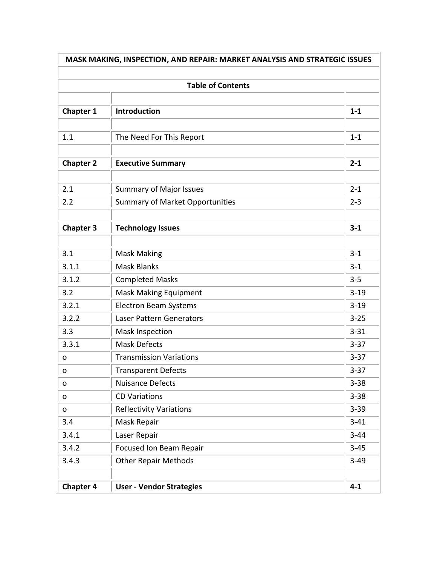| MASK MAKING, INSPECTION, AND REPAIR: MARKET ANALYSIS AND STRATEGIC ISSUES<br><b>Table of Contents</b> |                                        |          |  |  |
|-------------------------------------------------------------------------------------------------------|----------------------------------------|----------|--|--|
|                                                                                                       |                                        |          |  |  |
| 1.1                                                                                                   | The Need For This Report               | $1 - 1$  |  |  |
| <b>Chapter 2</b>                                                                                      | <b>Executive Summary</b>               | $2 - 1$  |  |  |
| 2.1                                                                                                   | <b>Summary of Major Issues</b>         | $2 - 1$  |  |  |
| 2.2                                                                                                   | <b>Summary of Market Opportunities</b> | $2 - 3$  |  |  |
| <b>Chapter 3</b>                                                                                      | <b>Technology Issues</b>               | $3 - 1$  |  |  |
| 3.1                                                                                                   | <b>Mask Making</b>                     | $3 - 1$  |  |  |
| 3.1.1                                                                                                 | <b>Mask Blanks</b>                     | $3 - 1$  |  |  |
| 3.1.2                                                                                                 | <b>Completed Masks</b>                 | $3 - 5$  |  |  |
| 3.2                                                                                                   | <b>Mask Making Equipment</b>           | $3 - 19$ |  |  |
| 3.2.1                                                                                                 | <b>Electron Beam Systems</b>           | $3 - 19$ |  |  |
| 3.2.2                                                                                                 | <b>Laser Pattern Generators</b>        | $3 - 25$ |  |  |
| 3.3                                                                                                   | <b>Mask Inspection</b>                 | $3 - 31$ |  |  |
| 3.3.1                                                                                                 | <b>Mask Defects</b>                    | $3 - 37$ |  |  |
| O                                                                                                     | <b>Transmission Variations</b>         | $3 - 37$ |  |  |
| 0                                                                                                     | <b>Transparent Defects</b>             | $3 - 37$ |  |  |
| O                                                                                                     | <b>Nuisance Defects</b>                | $3 - 38$ |  |  |
| 0                                                                                                     | <b>CD Variations</b>                   | $3 - 38$ |  |  |
| o                                                                                                     | <b>Reflectivity Variations</b>         | $3 - 39$ |  |  |
| 3.4                                                                                                   | Mask Repair                            | $3 - 41$ |  |  |
| 3.4.1                                                                                                 | Laser Repair                           | $3 - 44$ |  |  |
| 3.4.2                                                                                                 | Focused Ion Beam Repair                | $3 - 45$ |  |  |
| 3.4.3                                                                                                 | <b>Other Repair Methods</b>            | $3 - 49$ |  |  |
| <b>Chapter 4</b>                                                                                      | <b>User - Vendor Strategies</b>        | $4 - 1$  |  |  |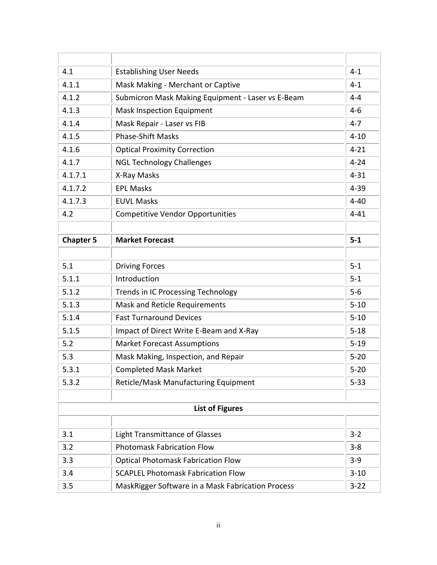| 4.1              | <b>Establishing User Needs</b>                                |          |
|------------------|---------------------------------------------------------------|----------|
| 4.1.1            | Mask Making - Merchant or Captive                             | $4 - 1$  |
| 4.1.2            | Submicron Mask Making Equipment - Laser vs E-Beam             | $4 - 4$  |
| 4.1.3            | <b>Mask Inspection Equipment</b>                              | $4 - 6$  |
| 4.1.4            | Mask Repair - Laser vs FIB                                    | $4 - 7$  |
| 4.1.5            | <b>Phase-Shift Masks</b>                                      | $4 - 10$ |
| 4.1.6            | <b>Optical Proximity Correction</b>                           | $4 - 21$ |
| 4.1.7            | <b>NGL Technology Challenges</b>                              | $4 - 24$ |
| 4.1.7.1          | X-Ray Masks                                                   | $4 - 31$ |
| 4.1.7.2          | <b>EPL Masks</b>                                              | $4 - 39$ |
| 4.1.7.3          | <b>EUVL Masks</b>                                             | $4 - 40$ |
| 4.2              | <b>Competitive Vendor Opportunities</b>                       | $4 - 41$ |
|                  |                                                               |          |
| <b>Chapter 5</b> | <b>Market Forecast</b>                                        | $5-1$    |
|                  |                                                               |          |
| 5.1              | <b>Driving Forces</b>                                         | $5 - 1$  |
| 5.1.1            | Introduction                                                  | $5-1$    |
| 5.1.2            | <b>Trends in IC Processing Technology</b>                     | $5-6$    |
| 5.1.3            | Mask and Reticle Requirements                                 | $5 - 10$ |
| 5.1.4            | <b>Fast Turnaround Devices</b>                                | $5 - 10$ |
| 5.1.5            | Impact of Direct Write E-Beam and X-Ray                       | $5 - 18$ |
| 5.2              | <b>Market Forecast Assumptions</b>                            | $5 - 19$ |
| 5.3              | Mask Making, Inspection, and Repair                           | $5 - 20$ |
| 5.3.1            | <b>Completed Mask Market</b>                                  | $5 - 20$ |
| 5.3.2            | Reticle/Mask Manufacturing Equipment                          | $5 - 33$ |
|                  |                                                               |          |
|                  | <b>List of Figures</b>                                        |          |
|                  |                                                               |          |
| 3.1              | <b>Light Transmittance of Glasses</b>                         | $3 - 2$  |
| 3.2              | <b>Photomask Fabrication Flow</b>                             | $3 - 8$  |
| 3.3              | <b>Optical Photomask Fabrication Flow</b>                     | $3-9$    |
| 3.4              | <b>SCAPLEL Photomask Fabrication Flow</b>                     | $3 - 10$ |
| 3.5              | MaskRigger Software in a Mask Fabrication Process<br>$3 - 22$ |          |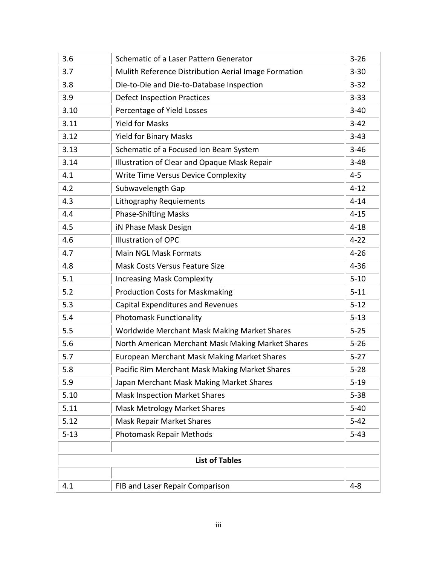| 3.6      | Schematic of a Laser Pattern Generator               | $3 - 26$ |  |  |  |
|----------|------------------------------------------------------|----------|--|--|--|
| 3.7      | Mulith Reference Distribution Aerial Image Formation | $3 - 30$ |  |  |  |
| 3.8      | Die-to-Die and Die-to-Database Inspection            | $3 - 32$ |  |  |  |
| 3.9      | <b>Defect Inspection Practices</b>                   | $3 - 33$ |  |  |  |
| 3.10     | Percentage of Yield Losses                           | $3 - 40$ |  |  |  |
| 3.11     | <b>Yield for Masks</b>                               | $3 - 42$ |  |  |  |
| 3.12     | <b>Yield for Binary Masks</b>                        | $3 - 43$ |  |  |  |
| 3.13     | Schematic of a Focused Ion Beam System               | $3 - 46$ |  |  |  |
| 3.14     | Illustration of Clear and Opaque Mask Repair         | $3 - 48$ |  |  |  |
| 4.1      | Write Time Versus Device Complexity                  | $4 - 5$  |  |  |  |
| 4.2      | Subwavelength Gap                                    | $4 - 12$ |  |  |  |
| 4.3      | Lithography Requiements                              | $4 - 14$ |  |  |  |
| 4.4      | <b>Phase-Shifting Masks</b>                          | $4 - 15$ |  |  |  |
| 4.5      | iN Phase Mask Design                                 | $4 - 18$ |  |  |  |
| 4.6      | <b>Illustration of OPC</b>                           | $4 - 22$ |  |  |  |
| 4.7      | <b>Main NGL Mask Formats</b>                         | $4 - 26$ |  |  |  |
| 4.8      | <b>Mask Costs Versus Feature Size</b>                | $4 - 36$ |  |  |  |
| 5.1      | <b>Increasing Mask Complexity</b>                    | $5 - 10$ |  |  |  |
| 5.2      | <b>Production Costs for Maskmaking</b>               | $5 - 11$ |  |  |  |
| 5.3      | <b>Capital Expenditures and Revenues</b>             | $5 - 12$ |  |  |  |
| 5.4      | <b>Photomask Functionality</b>                       | $5 - 13$ |  |  |  |
| 5.5      | Worldwide Merchant Mask Making Market Shares         | $5 - 25$ |  |  |  |
| 5.6      | North American Merchant Mask Making Market Shares    | $5 - 26$ |  |  |  |
| 5.7      | <b>European Merchant Mask Making Market Shares</b>   | $5 - 27$ |  |  |  |
| 5.8      | Pacific Rim Merchant Mask Making Market Shares       | $5 - 28$ |  |  |  |
| 5.9      | Japan Merchant Mask Making Market Shares             | $5 - 19$ |  |  |  |
| 5.10     | <b>Mask Inspection Market Shares</b>                 | $5 - 38$ |  |  |  |
| 5.11     | <b>Mask Metrology Market Shares</b>                  | $5 - 40$ |  |  |  |
| 5.12     | <b>Mask Repair Market Shares</b>                     | $5 - 42$ |  |  |  |
| $5 - 13$ | <b>Photomask Repair Methods</b>                      | $5 - 43$ |  |  |  |
|          |                                                      |          |  |  |  |
|          | <b>List of Tables</b>                                |          |  |  |  |
|          |                                                      |          |  |  |  |
| 4.1      | FIB and Laser Repair Comparison                      | $4 - 8$  |  |  |  |